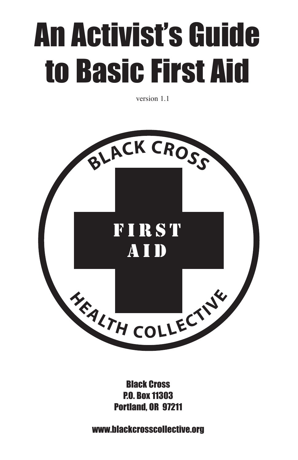# An Activist's Guide to Basic First Aid

version 1.1



Black Cross **P.O. Box 11303** Portland, OR 97211

www.blackcrosscollective.org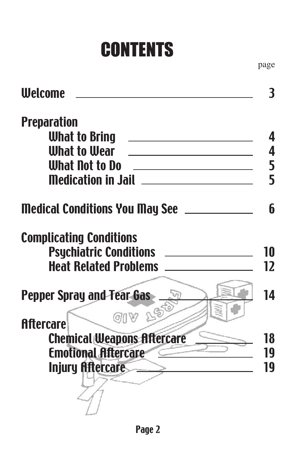### **CONTENTS**

| Welcome                                                                                                                                                                                                                                                                                   |                  |
|-------------------------------------------------------------------------------------------------------------------------------------------------------------------------------------------------------------------------------------------------------------------------------------------|------------------|
| <b>Preparation</b><br>What to Bring<br>What to Wear<br>the control of the control of the control of the control of<br>What Not to Do<br><u> 1980 - Jan Stein Stein Stein Stein Stein Stein Stein Stein Stein Stein Stein Stein Stein Stein Stein Stein S</u><br><b>Medication in Jail</b> | 4<br>4<br>5<br>5 |
| <b>Medical Conditions You May See ______</b>                                                                                                                                                                                                                                              | 6                |
| <b>Complicating Conditions</b><br><b>Psychiatric Conditions</b><br><u> 1999 - Jan Barnett, fransk politiker</u><br><b>Heat Related Problems</b>                                                                                                                                           | 10<br>12.        |
| Pepper Spray and Tear Gas<br><b>MUD</b><br><b>Aftercare</b>                                                                                                                                                                                                                               | 14               |
| <b>Chemical Weapons Aftercare</b><br><b>Emotional Aftercare</b><br><b>Injury Aftercare</b>                                                                                                                                                                                                | 18<br>19<br>19   |
|                                                                                                                                                                                                                                                                                           |                  |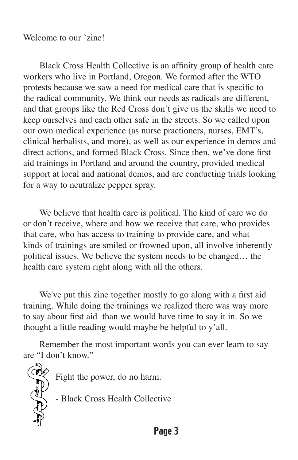Welcome to our 'zine!

Black Cross Health Collective is an affinity group of health care workers who live in Portland, Oregon. We formed after the WTO protests because we saw a need for medical care that is specific to the radical community. We think our needs as radicals are different, and that groups like the Red Cross don't give us the skills we need to keep ourselves and each other safe in the streets. So we called upon our own medical experience (as nurse practioners, nurses, EMT's, clinical herbalists, and more), as well as our experience in demos and direct actions, and formed Black Cross. Since then, we've done first aid trainings in Portland and around the country, provided medical support at local and national demos, and are conducting trials looking for a way to neutralize pepper spray.

We believe that health care is political. The kind of care we do or don't receive, where and how we receive that care, who provides that care, who has access to training to provide care, and what kinds of trainings are smiled or frowned upon, all involve inherently political issues. We believe the system needs to be changed… the health care system right along with all the others.

We've put this zine together mostly to go along with a first aid training. While doing the trainings we realized there was way more to say about first aid than we would have time to say it in. So we thought a little reading would maybe be helpful to y'all.

Remember the most important words you can ever learn to say are "I don't know."



Fight the power, do no harm.

- Black Cross Health Collective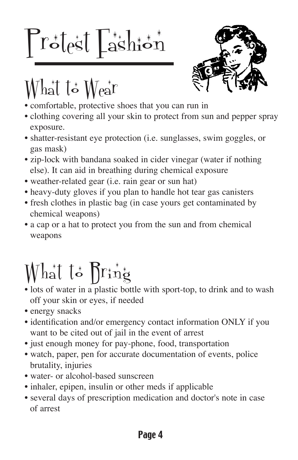# $\int r^* d\phi d\phi d\phi d\phi d\phi d\phi d\phi d\phi d\phi d\phi d\phi$

## What to Wear



- comfortable, protective shoes that you can run in
- clothing covering all your skin to protect from sun and pepper spray exposure.
- shatter-resistant eye protection (i.e. sunglasses, swim goggles, or gas mask)
- zip-lock with bandana soaked in cider vinegar (water if nothing else). It can aid in breathing during chemical exposure
- weather-related gear (*i.e.* rain gear or sun hat)
- heavy-duty gloves if you plan to handle hot tear gas canisters
- fresh clothes in plastic bag (in case yours get contaminated by chemical weapons)
- a cap or a hat to protect you from the sun and from chemical weapons

## What to  $\beta$ ring

- lots of water in a plastic bottle with sport-top, to drink and to wash off your skin or eyes, if needed
- energy snacks
- identification and/or emergency contact information ONLY if you want to be cited out of jail in the event of arrest
- just enough money for pay-phone, food, transportation
- watch, paper, pen for accurate documentation of events, police brutality, injuries
- water- or alcohol-based sunscreen
- inhaler, epipen, insulin or other meds if applicable
- several days of prescription medication and doctor's note in case of arrest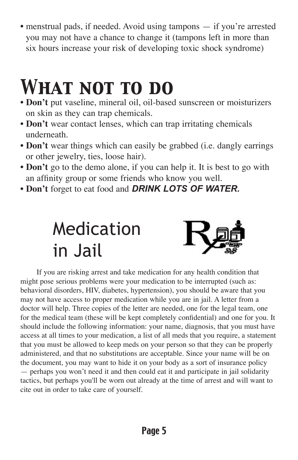• menstrual pads, if needed. Avoid using tampons — if you're arrested you may not have a chance to change it (tampons left in more than six hours increase your risk of developing toxic shock syndrome)

### *What not to do*

- **Don't** put vaseline, mineral oil, oil-based sunscreen or moisturizers on skin as they can trap chemicals.
- **Don't** wear contact lenses, which can trap irritating chemicals underneath.
- **Don't** wear things which can easily be grabbed (i.e. dangly earrings or other jewelry, ties, loose hair).
- **Don't** go to the demo alone, if you can help it. It is best to go with an affinity group or some friends who know you well.
- **Don't** forget to eat food and *DRINK LOTS OF WATER.*

### Medication in Jail



If you are risking arrest and take medication for any health condition that might pose serious problems were your medication to be interrupted (such as: behavioral disorders, HIV, diabetes, hypertension), you should be aware that you may not have access to proper medication while you are in jail. A letter from a doctor will help. Three copies of the letter are needed, one for the legal team, one for the medical team (these will be kept completely confidential) and one for you. It should include the following information: your name, diagnosis, that you must have access at all times to your medication, a list of all meds that you require, a statement that you must be allowed to keep meds on your person so that they can be properly administered, and that no substitutions are acceptable. Since your name will be on the document, you may want to hide it on your body as a sort of insurance policy — perhaps you won't need it and then could eat it and participate in jail solidarity tactics, but perhaps you'll be worn out already at the time of arrest and will want to cite out in order to take care of yourself.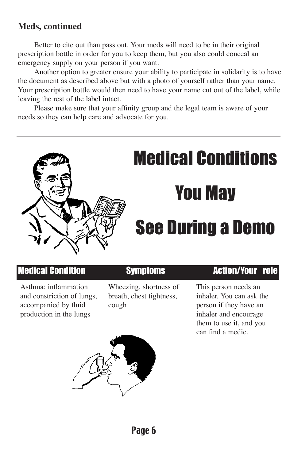#### **Meds, continued**

Better to cite out than pass out. Your meds will need to be in their original prescription bottle in order for you to keep them, but you also could conceal an emergency supply on your person if you want.

Another option to greater ensure your ability to participate in solidarity is to have the document as described above but with a photo of yourself rather than your name. Your prescription bottle would then need to have your name cut out of the label, while leaving the rest of the label intact.

Please make sure that your affinity group and the legal team is aware of your needs so they can help care and advocate for you.



### Medical Conditions You May

## See During a Demo

#### **Medical Condition Symptoms Action/Your role**

Asthma: inflammation and constriction of lungs, accompanied by fluid production in the lungs

Wheezing, shortness of breath, chest tightness, cough

This person needs an inhaler. You can ask the person if they have an inhaler and encourage them to use it, and you can find a medic.

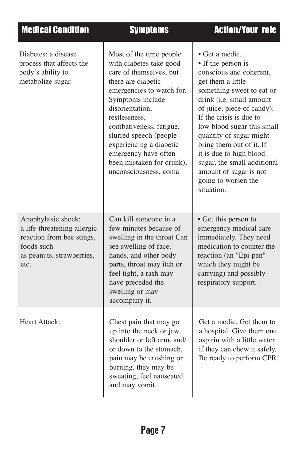| <b>Medical Condition</b>                                                                                                          | <b>Symptoms</b>                                                                                                                                                                                                                                                                                                                                        | <b>Action/Your role</b>                                                                                                                                                                                                                                                                                                                                                                                                      |
|-----------------------------------------------------------------------------------------------------------------------------------|--------------------------------------------------------------------------------------------------------------------------------------------------------------------------------------------------------------------------------------------------------------------------------------------------------------------------------------------------------|------------------------------------------------------------------------------------------------------------------------------------------------------------------------------------------------------------------------------------------------------------------------------------------------------------------------------------------------------------------------------------------------------------------------------|
| Diabetes: a disease<br>process that affects the<br>body's ability to<br>metabolize sugar.                                         | Most of the time people<br>with diabetes take good<br>care of themselves, but<br>there are diabetic<br>emergencies to watch for.<br>Symptoms include<br>disorientation,<br>restlessness,<br>combativeness, fatigue,<br>slurred speech (people<br>experiencing a diabetic<br>emergency have often<br>been mistaken for drunk),<br>unconsciousness, coma | $\bullet$ Get a medic.<br>• If the person is<br>conscious and coherent,<br>get them a little<br>something sweet to eat or<br>drink (i.e. small amount<br>of juice, piece of candy).<br>If the crisis is due to<br>low blood sugar this small<br>quantity of sugar might<br>bring them out of it. If<br>it is due to high blood<br>sugar, the small additional<br>amount of sugar is not<br>going to worsen the<br>situation. |
| Anaphylaxic shock:<br>a life-threatening allergic<br>reaction from bee stings,<br>foods such<br>as peanuts, strawberries,<br>etc. | Can kill someone in a<br>few minutes because of<br>swelling in the throat Can<br>see swelling of face,<br>hands, and other body<br>parts, throat may itch or<br>feel tight, a rash may<br>have preceded the<br>swelling or may<br>accompany it.                                                                                                        | • Get this person to<br>emergency medical care<br>immediately. They need<br>medication to counter the<br>reaction (an "Epi-pen"<br>which they might be<br>carrying) and possibly<br>respiratory support.                                                                                                                                                                                                                     |
| Heart Attack:                                                                                                                     | Chest pain that may go<br>up into the neck or jaw,<br>shoulder or left arm, and/<br>or down to the stomach,<br>pain may be crushing or<br>burning, they may be<br>sweating, feel nauseated<br>and may vomit.                                                                                                                                           | Get a medic. Get them to<br>a hospital. Give them one<br>aspirin with a little water<br>if they can chew it safely.<br>Be ready to perform CPR.                                                                                                                                                                                                                                                                              |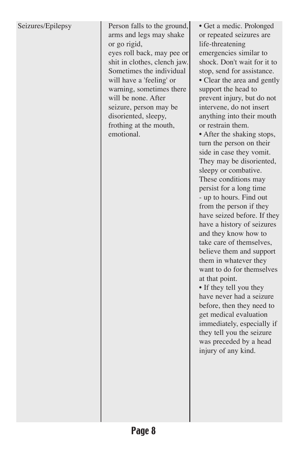Seizures/Epilepsy Person falls to the ground, arms and legs may shake or go rigid, eyes roll back, may pee or shit in clothes, clench jaw. Sometimes the individual will have a 'feeling' or warning, sometimes there will be none. After seizure, person may be disoriented, sleepy, frothing at the mouth, emotional.

• Get a medic. Prolonged or repeated seizures are life-threatening emergencies similar to shock. Don't wait for it to stop, send for assistance.

• Clear the area and gently support the head to prevent injury, but do not intervene, do not insert anything into their mouth or restrain them.

• After the shaking stops, turn the person on their side in case they vomit. They may be disoriented, sleepy or combative. These conditions may persist for a long time - up to hours. Find out from the person if they have seized before. If they have a history of seizures and they know how to take care of themselves, believe them and support them in whatever they want to do for themselves at that point.

• If they tell you they have never had a seizure before, then they need to get medical evaluation immediately, especially if they tell you the seizure was preceded by a head injury of any kind.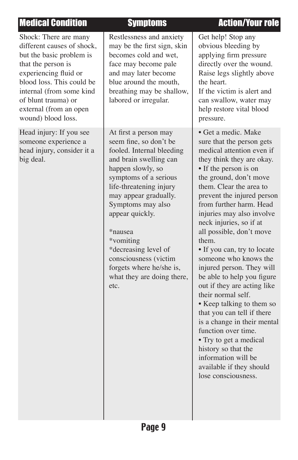### **Medical Condition Symptoms Action/Your role**

| Shock: There are many<br>different causes of shock,<br>but the basic problem is<br>that the person is<br>experiencing fluid or<br>blood loss. This could be<br>internal (from some kind<br>of blunt trauma) or<br>external (from an open<br>wound) blood loss. | Restlessness and anxiety<br>may be the first sign, skin<br>becomes cold and wet,<br>face may become pale<br>and may later become<br>blue around the mouth,<br>breathing may be shallow,<br>labored or irregular.                                                                                                                                                                            | Get help! Stop any<br>obvious bleeding by<br>applying firm pressure<br>directly over the wound.<br>Raise legs slightly above<br>the heart.<br>If the victim is alert and<br>can swallow, water may<br>help restore vital blood<br>pressure.                                                                                                                                                                                                                                                                                                                                                                                                                                                                                                                        |
|----------------------------------------------------------------------------------------------------------------------------------------------------------------------------------------------------------------------------------------------------------------|---------------------------------------------------------------------------------------------------------------------------------------------------------------------------------------------------------------------------------------------------------------------------------------------------------------------------------------------------------------------------------------------|--------------------------------------------------------------------------------------------------------------------------------------------------------------------------------------------------------------------------------------------------------------------------------------------------------------------------------------------------------------------------------------------------------------------------------------------------------------------------------------------------------------------------------------------------------------------------------------------------------------------------------------------------------------------------------------------------------------------------------------------------------------------|
| Head injury: If you see<br>someone experience a<br>head injury, consider it a<br>big deal.                                                                                                                                                                     | At first a person may<br>seem fine, so don't be<br>fooled. Internal bleeding<br>and brain swelling can<br>happen slowly, so<br>symptoms of a serious<br>life-threatening injury<br>may appear gradually.<br>Symptoms may also<br>appear quickly.<br>*nausea<br>*vomiting<br>*decreasing level of<br>consciousness (victim<br>forgets where he/she is,<br>what they are doing there,<br>etc. | • Get a medic. Make<br>sure that the person gets<br>medical attention even if<br>they think they are okay.<br>• If the person is on<br>the ground, don't move<br>them. Clear the area to<br>prevent the injured person<br>from further harm. Head<br>injuries may also involve<br>neck injuries, so if at<br>all possible, don't move<br>them.<br>• If you can, try to locate<br>someone who knows the<br>injured person. They will<br>be able to help you figure<br>out if they are acting like<br>their normal self.<br>• Keep talking to them so<br>that you can tell if there<br>is a change in their mental<br>function over time.<br>• Try to get a medical<br>history so that the<br>information will be<br>available if they should<br>lose consciousness. |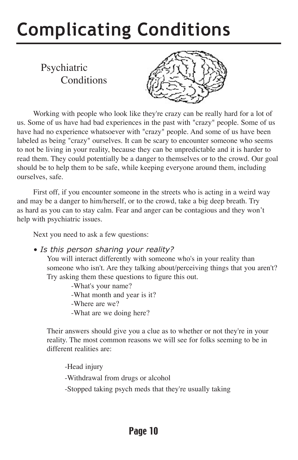### **Complicating Conditions**

### Psychiatric **Conditions**



Working with people who look like they're crazy can be really hard for a lot of us. Some of us have had bad experiences in the past with "crazy" people. Some of us have had no experience whatsoever with "crazy" people. And some of us have been labeled as being "crazy" ourselves. It can be scary to encounter someone who seems to not be living in your reality, because they can be unpredictable and it is harder to read them. They could potentially be a danger to themselves or to the crowd. Our goal should be to help them to be safe, while keeping everyone around them, including ourselves, safe.

First off, if you encounter someone in the streets who is acting in a weird way and may be a danger to him/herself, or to the crowd, take a big deep breath. Try as hard as you can to stay calm. Fear and anger can be contagious and they won't help with psychiatric issues.

Next you need to ask a few questions:

*• Is this person sharing your reality?*

You will interact differently with someone who's in your reality than someone who isn't. Are they talking about/perceiving things that you aren't? Try asking them these questions to figure this out.

-What's your name? -What month and year is it? -Where are we? -What are we doing here?

Their answers should give you a clue as to whether or not they're in your reality. The most common reasons we will see for folks seeming to be in different realities are:

 -Head injury -Withdrawal from drugs or alcohol -Stopped taking psych meds that they're usually taking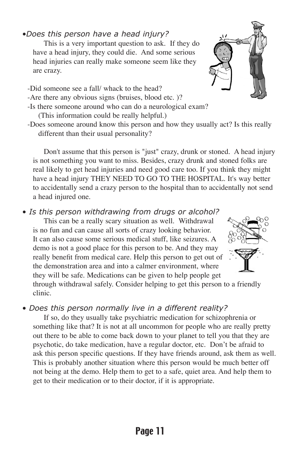#### *•Does this person have a head injury?*

This is a very important question to ask. If they do have a head injury, they could die. And some serious head injuries can really make someone seem like they are crazy.

-Did someone see a fall/ whack to the head?

- -Are there any obvious signs (bruises, blood etc. )?
- -Is there someone around who can do a neurological exam? (This information could be really helpful.)
- -Does someone around know this person and how they usually act? Is this really different than their usual personality?

Don't assume that this person is "just" crazy, drunk or stoned. A head injury is not something you want to miss. Besides, crazy drunk and stoned folks are real likely to get head injuries and need good care too. If you think they might have a head injury THEY NEED TO GO TO THE HOSPITAL. It's way better to accidentally send a crazy person to the hospital than to accidentally not send a head injured one.

*• Is this person withdrawing from drugs or alcohol?*

This can be a really scary situation as well. Withdrawal is no fun and can cause all sorts of crazy looking behavior. It can also cause some serious medical stuff, like seizures. A demo is not a good place for this person to be. And they may really benefit from medical care. Help this person to get out of the demonstration area and into a calmer environment, where they will be safe. Medications can be given to help people get

through withdrawal safely. Consider helping to get this person to a friendly clinic.

#### *• Does this person normally live in a different reality?*

If so, do they usually take psychiatric medication for schizophrenia or something like that? It is not at all uncommon for people who are really pretty out there to be able to come back down to your planet to tell you that they are psychotic, do take medication, have a regular doctor, etc. Don't be afraid to ask this person specific questions. If they have friends around, ask them as well. This is probably another situation where this person would be much better off not being at the demo. Help them to get to a safe, quiet area. And help them to get to their medication or to their doctor, if it is appropriate.





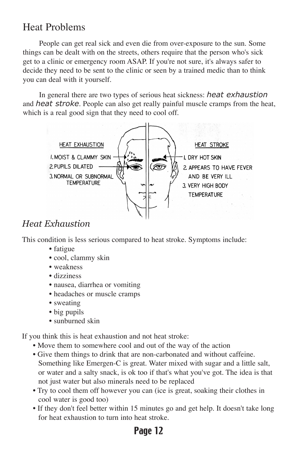#### Heat Problems

People can get real sick and even die from over-exposure to the sun. Some things can be dealt with on the streets, others require that the person who's sick get to a clinic or emergency room ASAP. If you're not sure, it's always safer to decide they need to be sent to the clinic or seen by a trained medic than to think you can deal with it yourself.

In general there are two types of serious heat sickness: *heat exhaustion* and *heat stroke*. People can also get really painful muscle cramps from the heat, which is a real good sign that they need to cool off.



#### *Heat Exhaustion*

This condition is less serious compared to heat stroke. Symptoms include:

- fatigue
- cool, clammy skin
- weakness
- dizziness
- nausea, diarrhea or vomiting
- headaches or muscle cramps
- sweating
- big pupils
- sunburned skin

If you think this is heat exhaustion and not heat stroke:

- Move them to somewhere cool and out of the way of the action
- Give them things to drink that are non-carbonated and without caffeine. Something like Emergen-C is great. Water mixed with sugar and a little salt, or water and a salty snack, is ok too if that's what you've got. The idea is that not just water but also minerals need to be replaced
- Try to cool them off however you can (ice is great, soaking their clothes in cool water is good too)
- If they don't feel better within 15 minutes go and get help. It doesn't take long for heat exhaustion to turn into heat stroke.

#### Page 12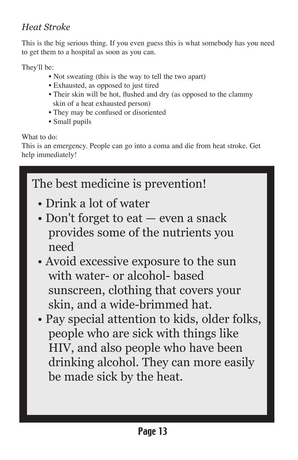#### *Heat Stroke*

This is the big serious thing. If you even guess this is what somebody has you need to get them to a hospital as soon as you can.

They'll be:

- Not sweating (this is the way to tell the two apart)
- Exhausted, as opposed to just tired
- Their skin will be hot, flushed and dry (as opposed to the clammy skin of a heat exhausted person)
- They may be confused or disoriented
- Small pupils

#### What to do:

This is an emergency. People can go into a coma and die from heat stroke. Get help immediately!

### The best medicine is prevention!

- Drink a lot of water
- Don't forget to eat even a snack provides some of the nutrients you need
- Avoid excessive exposure to the sun with water- or alcohol- based sunscreen, clothing that covers your skin, and a wide-brimmed hat.
- Pay special attention to kids, older folks, people who are sick with things like HIV, and also people who have been drinking alcohol. They can more easily be made sick by the heat.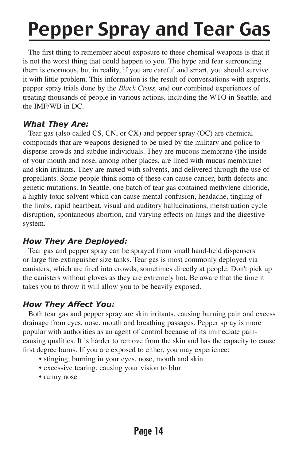### Pepper Spray and Tear Gas

The first thing to remember about exposure to these chemical weapons is that it is not the worst thing that could happen to you. The hype and fear surrounding them is enormous, but in reality, if you are careful and smart, you should survive it with little problem. This information is the result of conversations with experts, pepper spray trials done by the *Black Cross,* and our combined experiences of treating thousands of people in various actions, including the WTO in Seattle, and the IMF/WB in DC.

#### *What They Are:*

Tear gas (also called CS, CN, or CX) and pepper spray (OC) are chemical compounds that are weapons designed to be used by the military and police to disperse crowds and subdue individuals. They are mucous membrane (the inside of your mouth and nose, among other places, are lined with mucus membrane) and skin irritants. They are mixed with solvents, and delivered through the use of propellants. Some people think some of these can cause cancer, birth defects and genetic mutations. In Seattle, one batch of tear gas contained methylene chloride, a highly toxic solvent which can cause mental confusion, headache, tingling of the limbs, rapid heartbeat, visual and auditory hallucinations, menstruation cycle disruption, spontaneous abortion, and varying effects on lungs and the digestive system.

#### *How They Are Deployed:*

Tear gas and pepper spray can be sprayed from small hand-held dispensers or large fire-extinguisher size tanks. Tear gas is most commonly deployed via canisters, which are fired into crowds, sometimes directly at people. Don't pick up the canisters without gloves as they are extremely hot. Be aware that the time it takes you to throw it will allow you to be heavily exposed.

#### *How They Affect You:*

Both tear gas and pepper spray are skin irritants, causing burning pain and excess drainage from eyes, nose, mouth and breathing passages. Pepper spray is more popular with authorities as an agent of control because of its immediate paincausing qualities. It is harder to remove from the skin and has the capacity to cause first degree burns. If you are exposed to either, you may experience:

- stinging, burning in your eyes, nose, mouth and skin
- excessive tearing, causing your vision to blur
- runny nose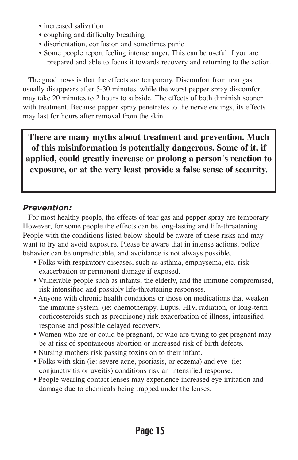- increased salivation
- coughing and difficulty breathing
- disorientation, confusion and sometimes panic
- Some people report feeling intense anger. This can be useful if you are prepared and able to focus it towards recovery and returning to the action.

The good news is that the effects are temporary. Discomfort from tear gas usually disappears after 5-30 minutes, while the worst pepper spray discomfort may take 20 minutes to 2 hours to subside. The effects of both diminish sooner with treatment. Because pepper spray penetrates to the nerve endings, its effects may last for hours after removal from the skin.

**There are many myths about treatment and prevention. Much of this misinformation is potentially dangerous. Some of it, if applied, could greatly increase or prolong a person's reaction to exposure, or at the very least provide a false sense of security.**

#### *Prevention:*

For most healthy people, the effects of tear gas and pepper spray are temporary. However, for some people the effects can be long-lasting and life-threatening. People with the conditions listed below should be aware of these risks and may want to try and avoid exposure. Please be aware that in intense actions, police behavior can be unpredictable, and avoidance is not always possible.

- Folks with respiratory diseases, such as asthma, emphysema, etc. risk exacerbation or permanent damage if exposed.
- Vulnerable people such as infants, the elderly, and the immune compromised, risk intensified and possibly life-threatening responses.
- Anyone with chronic health conditions or those on medications that weaken the immune system, (ie: chemotherapy, Lupus, HIV, radiation, or long-term corticosteroids such as prednisone) risk exacerbation of illness, intensified response and possible delayed recovery.
- Women who are or could be pregnant, or who are trying to get pregnant may be at risk of spontaneous abortion or increased risk of birth defects.
- Nursing mothers risk passing toxins on to their infant.
- Folks with skin (ie: severe acne, psoriasis, or eczema) and eye (ie: conjunctivitis or uveitis) conditions risk an intensified response.
- People wearing contact lenses may experience increased eye irritation and damage due to chemicals being trapped under the lenses.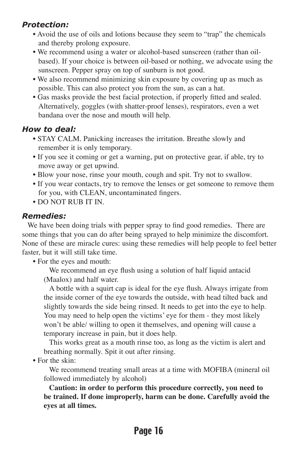#### *Protection:*

- Avoid the use of oils and lotions because they seem to "trap" the chemicals and thereby prolong exposure.
- We recommend using a water or alcohol-based sunscreen (rather than oilbased). If your choice is between oil-based or nothing, we advocate using the sunscreen. Pepper spray on top of sunburn is not good.
- We also recommend minimizing skin exposure by covering up as much as possible. This can also protect you from the sun, as can a hat.
- Gas masks provide the best facial protection, if properly fitted and sealed. Alternatively, goggles (with shatter-proof lenses), respirators, even a wet bandana over the nose and mouth will help.

#### *How to deal:*

- STAY CALM. Panicking increases the irritation. Breathe slowly and remember it is only temporary.
- If you see it coming or get a warning, put on protective gear, if able, try to move away or get upwind.
- Blow your nose, rinse your mouth, cough and spit. Try not to swallow.
- If you wear contacts, try to remove the lenses or get someone to remove them for you, with CLEAN, uncontaminated fingers.
- DO NOT RUB IT IN.

#### *Remedies:*

We have been doing trials with pepper spray to find good remedies. There are some things that you can do after being sprayed to help minimize the discomfort. None of these are miracle cures: using these remedies will help people to feel better faster, but it will still take time.

• For the eyes and mouth:

We recommend an eye flush using a solution of half liquid antacid (Maalox) and half water.

A bottle with a squirt cap is ideal for the eye flush. Always irrigate from the inside corner of the eye towards the outside, with head tilted back and slightly towards the side being rinsed. It needs to get into the eye to help. You may need to help open the victims' eye for them - they most likely won't be able/ willing to open it themselves, and opening will cause a temporary increase in pain, but it does help.

This works great as a mouth rinse too, as long as the victim is alert and breathing normally. Spit it out after rinsing.

• For the skin:

We recommend treating small areas at a time with MOFIBA (mineral oil followed immediately by alcohol)

**Caution: in order to perform this procedure correctly, you need to be trained. If done improperly, harm can be done. Carefully avoid the eyes at all times.**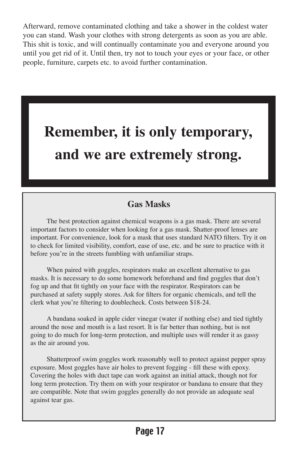Afterward, remove contaminated clothing and take a shower in the coldest water you can stand. Wash your clothes with strong detergents as soon as you are able. This shit is toxic, and will continually contaminate you and everyone around you until you get rid of it. Until then, try not to touch your eyes or your face, or other people, furniture, carpets etc. to avoid further contamination.

### **Remember, it is only temporary, and we are extremely strong.**

#### **Gas Masks**

The best protection against chemical weapons is a gas mask. There are several important factors to consider when looking for a gas mask. Shatter-proof lenses are important. For convenience, look for a mask that uses standard NATO filters. Try it on to check for limited visibility, comfort, ease of use, etc. and be sure to practice with it before you're in the streets fumbling with unfamiliar straps.

When paired with goggles, respirators make an excellent alternative to gas masks. It is necessary to do some homework beforehand and find goggles that don't fog up and that fit tightly on your face with the respirator. Respirators can be purchased at safety supply stores. Ask for filters for organic chemicals, and tell the clerk what you're filtering to doublecheck. Costs between \$18-24.

A bandana soaked in apple cider vinegar (water if nothing else) and tied tightly around the nose and mouth is a last resort. It is far better than nothing, but is not going to do much for long-term protection, and multiple uses will render it as gassy as the air around you.

Shatterproof swim goggles work reasonably well to protect against pepper spray exposure. Most goggles have air holes to prevent fogging - fill these with epoxy. Covering the holes with duct tape can work against an initial attack, though not for long term protection. Try them on with your respirator or bandana to ensure that they are compatible. Note that swim goggles generally do not provide an adequate seal against tear gas.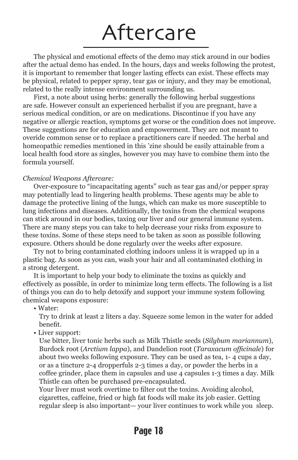### Aftercare

The physical and emotional effects of the demo may stick around in our bodies after the actual demo has ended. In the hours, days and weeks following the protest, it is important to remember that longer lasting effects can exist. These effects may be physical, related to pepper spray, tear gas or injury, and they may be emotional, related to the really intense environment surrounding us.

First, a note about using herbs: generally the following herbal suggestions are safe. However consult an experienced herbalist if you are pregnant, have a serious medical condition, or are on medications. Discontinue if you have any negative or allergic reaction, symptoms get worse or the condition does not improve. These suggestions are for education and empowerment. They are not meant to overide common sense or to replace a practitioners care if needed. The herbal and homeopathic remedies mentioned in this 'zine should be easily attainable from a local health food store as singles, however you may have to combine them into the formula yourself.

#### *Chemical Weapons Aftercare:*

Over-exposure to "incapacitating agents" such as tear gas and/or pepper spray may potentially lead to lingering health problems. These agents may be able to damage the protective lining of the lungs, which can make us more susceptible to lung infections and diseases. Additionally, the toxins from the chemical weapons can stick around in our bodies, taxing our liver and our general immune system. There are many steps you can take to help decrease your risks from exposure to these toxins. Some of these steps need to be taken as soon as possible following exposure. Others should be done regularly over the weeks after exposure.

Try not to bring contaminated clothing indoors unless it is wrapped up in a plastic bag. As soon as you can, wash your hair and all contaminated clothing in a strong detergent.

It is important to help your body to eliminate the toxins as quickly and effectively as possible, in order to minimize long term effects. The following is a list of things you can do to help detoxify and support your immune system following chemical weapons exposure:

• Water:

Try to drink at least 2 liters a day. Squeeze some lemon in the water for added benefit.

• Liver support:

Use bitter, liver tonic herbs such as Milk Thistle seeds (*Silybum mariannum*), Burdock root (*Arctium lappa*), and Dandelion root (*Taraxacum officinale*) for about two weeks following exposure. They can be used as tea, 1- 4 cups a day, or as a tincture 2-4 dropperfuls 2-3 times a day, or powder the herbs in a coffee grinder, place them in capsules and use 4 capsules 1-3 times a day. Milk Thistle can often be purchased pre-encapsulated.

Your liver must work overtime to filter out the toxins. Avoiding alcohol, cigarettes, caffeine, fried or high fat foods will make its job easier. Getting regular sleep is also important— your liver continues to work while you sleep.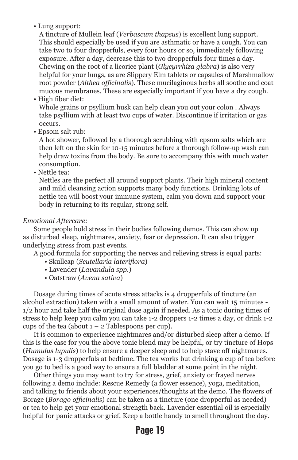• Lung support:

A tincture of Mullein leaf (*Verbascum thapsus*) is excellent lung support. This should especially be used if you are asthmatic or have a cough. You can take two to four dropperfuls, every four hours or so, immediately following exposure. After a day, decrease this to two dropperfuls four times a day. Chewing on the root of a licorice plant (*Glycyrrhiza glabra*) is also very helpful for your lungs, as are Slippery Elm tablets or capsules of Marshmallow root powder (*Althea officinalis*). These mucilaginous herbs all soothe and coat mucous membranes. These are especially important if you have a dry cough.

• High fiber diet:

Whole grains or psyllium husk can help clean you out your colon . Always take psyllium with at least two cups of water. Discontinue if irritation or gas occurs.

• Epsom salt rub:

A hot shower, followed by a thorough scrubbing with epsom salts which are then left on the skin for 10-15 minutes before a thorough follow-up wash can help draw toxins from the body. Be sure to accompany this with much water consumption.

• Nettle tea:

Nettles are the perfect all around support plants. Their high mineral content and mild cleansing action supports many body functions. Drinking lots of nettle tea will boost your immune system, calm you down and support your body in returning to its regular, strong self.

#### *Emotional Aftercare:*

Some people hold stress in their bodies following demos. This can show up as disturbed sleep, nightmares, anxiety, fear or depression. It can also trigger underlying stress from past events.

A good formula for supporting the nerves and relieving stress is equal parts:

- Skullcap (*Scutellaria lateriora*)
- Lavender (*Lavandula spp.*)
- Oatstraw (*Avena sativa*)

Dosage during times of acute stress attacks is 4 dropperfuls of tincture (an alcohol extraction) taken with a small amount of water. You can wait 15 minutes - 1/2 hour and take half the original dose again if needed. As a tonic during times of stress to help keep you calm you can take 1-2 droppers 1-2 times a day, or drink 1-2 cups of the tea (about  $1 - 2$  Tablespoons per cup).

It is common to experience nightmares and/or disturbed sleep after a demo. If this is the case for you the above tonic blend may be helpful, or try tincture of Hops (*Humulus lupulis*) to help ensure a deeper sleep and to help stave off nightmares. Dosage is 1-3 dropperfuls at bedtime. The tea works but drinking a cup of tea before you go to bed is a good way to ensure a full bladder at some point in the night.

Other things you may want to try for stress, grief, anxiety or frayed nerves following a demo include: Rescue Remedy (a flower essence), yoga, meditation, and talking to friends about your experiences/thoughts at the demo. The flowers of Borage (*Borago ofcinalis*) can be taken as a tincture (one dropperful as needed) or tea to help get your emotional strength back. Lavender essential oil is especially helpful for panic attacks or grief. Keep a bottle handy to smell throughout the day.